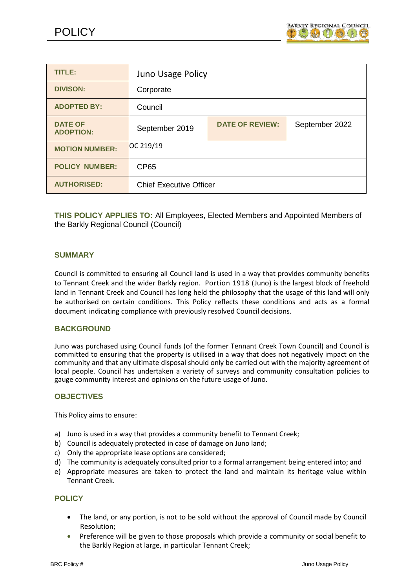

| <b>TITLE:</b>                      | <b>Juno Usage Policy</b>       |                        |                |
|------------------------------------|--------------------------------|------------------------|----------------|
| <b>DIVISON:</b>                    | Corporate                      |                        |                |
| <b>ADOPTED BY:</b>                 | Council                        |                        |                |
| <b>DATE OF</b><br><b>ADOPTION:</b> | September 2019                 | <b>DATE OF REVIEW:</b> | September 2022 |
| <b>MOTION NUMBER:</b>              | OC 219/19                      |                        |                |
| <b>POLICY NUMBER:</b>              | <b>CP65</b>                    |                        |                |
| <b>AUTHORISED:</b>                 | <b>Chief Executive Officer</b> |                        |                |

**THIS POLICY APPLIES TO:** All Employees, Elected Members and Appointed Members of the Barkly Regional Council (Council)

## **SUMMARY**

Council is committed to ensuring all Council land is used in a way that provides community benefits to Tennant Creek and the wider Barkly region. Portion 1918 (Juno) is the largest block of freehold land in Tennant Creek and Council has long held the philosophy that the usage of this land will only be authorised on certain conditions. This Policy reflects these conditions and acts as a formal document indicating compliance with previously resolved Council decisions.

### **BACKGROUND**

Juno was purchased using Council funds (of the former Tennant Creek Town Council) and Council is committed to ensuring that the property is utilised in a way that does not negatively impact on the community and that any ultimate disposal should only be carried out with the majority agreement of local people. Council has undertaken a variety of surveys and community consultation policies to gauge community interest and opinions on the future usage of Juno.

### **OBJECTIVES**

This Policy aims to ensure:

- a) Juno is used in a way that provides a community benefit to Tennant Creek;
- b) Council is adequately protected in case of damage on Juno land;
- c) Only the appropriate lease options are considered;
- d) The community is adequately consulted prior to a formal arrangement being entered into; and
- e) Appropriate measures are taken to protect the land and maintain its heritage value within Tennant Creek.

### **POLICY**

- The land, or any portion, is not to be sold without the approval of Council made by Council Resolution;
- Preference will be given to those proposals which provide a community or social benefit to the Barkly Region at large, in particular Tennant Creek;